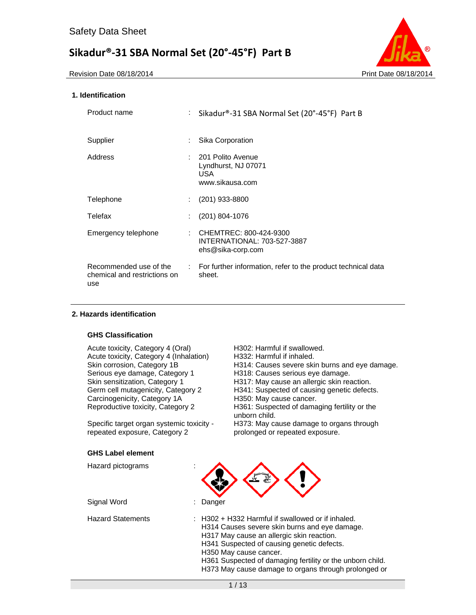Revision Date 08/18/2014 **Print Date 08/18/2014** Print Date 08/18/2014



### **1. Identification**

| Product name                                                  | ÷.                         | Sikadur®-31 SBA Normal Set (20°-45°F) Part B                                 |
|---------------------------------------------------------------|----------------------------|------------------------------------------------------------------------------|
| Supplier                                                      |                            | Sika Corporation                                                             |
| Address                                                       |                            | 201 Polito Avenue<br>Lyndhurst, NJ 07071<br>USA.<br>www.sikausa.com          |
| Telephone                                                     |                            | (201) 933-8800                                                               |
| Telefax                                                       |                            | $(201)$ 804-1076                                                             |
| Emergency telephone                                           |                            | : CHEMTREC: 800-424-9300<br>INTERNATIONAL: 703-527-3887<br>ehs@sika-corp.com |
| Recommended use of the<br>chemical and restrictions on<br>use | $\mathcal{L}^{\text{max}}$ | For further information, refer to the product technical data<br>sheet.       |

### **2. Hazards identification**

### **GHS Classification**

Acute toxicity, Category 4 (Oral) H302: Harmful if swallowed. Acute toxicity, Category 4 (Inhalation) H332: Harmful if inhaled. Serious eye damage, Category 1 H318: Causes serious eye damage. Skin sensitization, Category 1 **H317:** May cause an allergic skin reaction.<br>Germ cell mutagenicity, Category 2 **H341:** Suspected of causing genetic defect Carcinogenicity, Category 1A <br>
Reproductive toxicity, Category 2 H361: Suspected of dama

Specific target organ systemic toxicity repeated exposure, Category 2

- 
- Skin corrosion, Category 1B H314: Causes severe skin burns and eye damage.
	-
	-
	- H341: Suspected of causing genetic defects.
	-
	- H361: Suspected of damaging fertility or the unborn child.

H373: May cause damage to organs through prolonged or repeated exposure.

### **GHS Label element**  Hazard pictograms :

Signal Word : Danger

Hazard Statements : H302 + H332 Harmful if swallowed or if inhaled.

| H314 Causes severe skin burns and eye damage.             |  |
|-----------------------------------------------------------|--|
| H317 May cause an allergic skin reaction.                 |  |
| H341 Suspected of causing genetic defects.                |  |
| H350 May cause cancer.                                    |  |
| H361 Suspected of damaging fertility or the unborn child. |  |
| H373 May cause damage to organs through prolonged or      |  |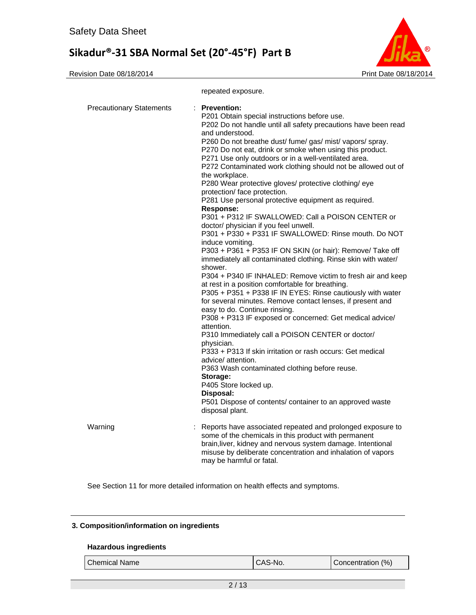

|                                 | repeated exposure.                                                                                                                                                                                                                                                                                                                                                                                                                                                                                                                                                                                                                                                                                                                                                                                                                                                                                                                                                                                                                                                                                                                                                                                                                                                                                                                                                                                                                                                                                                                                                                                               |
|---------------------------------|------------------------------------------------------------------------------------------------------------------------------------------------------------------------------------------------------------------------------------------------------------------------------------------------------------------------------------------------------------------------------------------------------------------------------------------------------------------------------------------------------------------------------------------------------------------------------------------------------------------------------------------------------------------------------------------------------------------------------------------------------------------------------------------------------------------------------------------------------------------------------------------------------------------------------------------------------------------------------------------------------------------------------------------------------------------------------------------------------------------------------------------------------------------------------------------------------------------------------------------------------------------------------------------------------------------------------------------------------------------------------------------------------------------------------------------------------------------------------------------------------------------------------------------------------------------------------------------------------------------|
| <b>Precautionary Statements</b> | $:$ Prevention:<br>P201 Obtain special instructions before use.<br>P202 Do not handle until all safety precautions have been read<br>and understood.<br>P260 Do not breathe dust/ fume/ gas/ mist/ vapors/ spray.<br>P270 Do not eat, drink or smoke when using this product.<br>P271 Use only outdoors or in a well-ventilated area.<br>P272 Contaminated work clothing should not be allowed out of<br>the workplace.<br>P280 Wear protective gloves/ protective clothing/ eye<br>protection/ face protection.<br>P281 Use personal protective equipment as required.<br><b>Response:</b><br>P301 + P312 IF SWALLOWED: Call a POISON CENTER or<br>doctor/ physician if you feel unwell.<br>P301 + P330 + P331 IF SWALLOWED: Rinse mouth. Do NOT<br>induce vomiting.<br>P303 + P361 + P353 IF ON SKIN (or hair): Remove/ Take off<br>immediately all contaminated clothing. Rinse skin with water/<br>shower.<br>P304 + P340 IF INHALED: Remove victim to fresh air and keep<br>at rest in a position comfortable for breathing.<br>P305 + P351 + P338 IF IN EYES: Rinse cautiously with water<br>for several minutes. Remove contact lenses, if present and<br>easy to do. Continue rinsing.<br>P308 + P313 IF exposed or concerned: Get medical advice/<br>attention.<br>P310 Immediately call a POISON CENTER or doctor/<br>physician.<br>P333 + P313 If skin irritation or rash occurs: Get medical<br>advice/ attention.<br>P363 Wash contaminated clothing before reuse.<br>Storage:<br>P405 Store locked up.<br>Disposal:<br>P501 Dispose of contents/ container to an approved waste<br>disposal plant. |
| Warning                         | : Reports have associated repeated and prolonged exposure to<br>some of the chemicals in this product with permanent<br>brain, liver, kidney and nervous system damage. Intentional<br>misuse by deliberate concentration and inhalation of vapors<br>may be harmful or fatal.                                                                                                                                                                                                                                                                                                                                                                                                                                                                                                                                                                                                                                                                                                                                                                                                                                                                                                                                                                                                                                                                                                                                                                                                                                                                                                                                   |

See Section 11 for more detailed information on health effects and symptoms.

### **3. Composition/information on ingredients**

### **Hazardous ingredients**

| Chemical Name | CAS-No. | Concentration (%) |
|---------------|---------|-------------------|
|               |         |                   |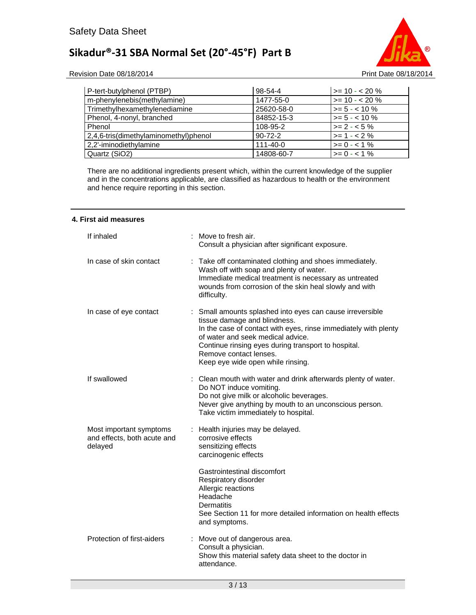

Revision Date 08/18/2014 **Print Date 08/18/2014** Print Date 08/18/2014

| P-tert-butylphenol (PTBP)             | 98-54-4        | $\ge$ = 10 - < 20 % |
|---------------------------------------|----------------|---------------------|
| m-phenylenebis(methylamine)           | 1477-55-0      | $\ge$ = 10 - < 20 % |
| Trimethylhexamethylenediamine         | 25620-58-0     | $>= 5 - < 10 \%$    |
| Phenol, 4-nonyl, branched             | 84852-15-3     | $>= 5 - < 10 \%$    |
| Phenol                                | 108-95-2       | $>= 2 - 5\%$        |
| 2,4,6-tris(dimethylaminomethyl)phenol | $90 - 72 - 2$  | $>= 1 - 2%$         |
| 2,2'-iminodiethylamine                | $111 - 40 - 0$ | $>= 0 - 1\%$        |
| Quartz (SiO2)                         | 14808-60-7     | $>= 0 - 1\%$        |

There are no additional ingredients present which, within the current knowledge of the supplier and in the concentrations applicable, are classified as hazardous to health or the environment and hence require reporting in this section.

#### **4. First aid measures**

| If inhaled                                                        | : Move to fresh air.<br>Consult a physician after significant exposure.                                                                                                                                                                                                                                                 |
|-------------------------------------------------------------------|-------------------------------------------------------------------------------------------------------------------------------------------------------------------------------------------------------------------------------------------------------------------------------------------------------------------------|
| In case of skin contact                                           | Take off contaminated clothing and shoes immediately.<br>÷<br>Wash off with soap and plenty of water.<br>Immediate medical treatment is necessary as untreated<br>wounds from corrosion of the skin heal slowly and with<br>difficulty.                                                                                 |
| In case of eye contact                                            | : Small amounts splashed into eyes can cause irreversible<br>tissue damage and blindness.<br>In the case of contact with eyes, rinse immediately with plenty<br>of water and seek medical advice.<br>Continue rinsing eyes during transport to hospital.<br>Remove contact lenses.<br>Keep eye wide open while rinsing. |
| If swallowed                                                      | : Clean mouth with water and drink afterwards plenty of water.<br>Do NOT induce vomiting.<br>Do not give milk or alcoholic beverages.<br>Never give anything by mouth to an unconscious person.<br>Take victim immediately to hospital.                                                                                 |
| Most important symptoms<br>and effects, both acute and<br>delayed | : Health injuries may be delayed.<br>corrosive effects<br>sensitizing effects<br>carcinogenic effects                                                                                                                                                                                                                   |
|                                                                   | Gastrointestinal discomfort<br>Respiratory disorder<br>Allergic reactions<br>Headache<br><b>Dermatitis</b><br>See Section 11 for more detailed information on health effects<br>and symptoms.                                                                                                                           |
| Protection of first-aiders                                        | : Move out of dangerous area.<br>Consult a physician.<br>Show this material safety data sheet to the doctor in<br>attendance.                                                                                                                                                                                           |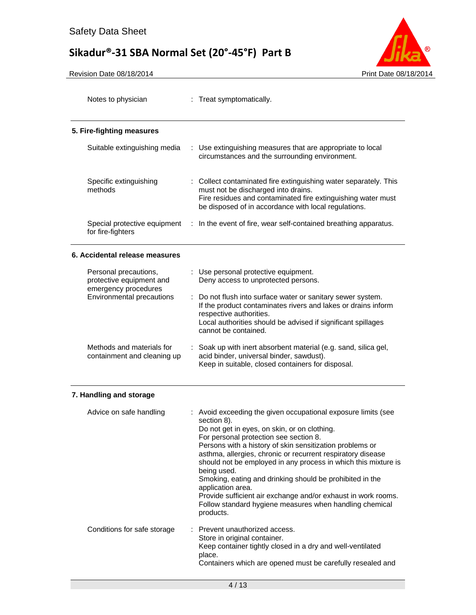

| Notes to physician                                                        | : Treat symptomatically.                                                                                                                                                                                                                                                                                                                                                                                                                                                                                                                                                                                     |
|---------------------------------------------------------------------------|--------------------------------------------------------------------------------------------------------------------------------------------------------------------------------------------------------------------------------------------------------------------------------------------------------------------------------------------------------------------------------------------------------------------------------------------------------------------------------------------------------------------------------------------------------------------------------------------------------------|
| 5. Fire-fighting measures                                                 |                                                                                                                                                                                                                                                                                                                                                                                                                                                                                                                                                                                                              |
| Suitable extinguishing media                                              | : Use extinguishing measures that are appropriate to local<br>circumstances and the surrounding environment.                                                                                                                                                                                                                                                                                                                                                                                                                                                                                                 |
| Specific extinguishing<br>methods                                         | : Collect contaminated fire extinguishing water separately. This<br>must not be discharged into drains.<br>Fire residues and contaminated fire extinguishing water must<br>be disposed of in accordance with local regulations.                                                                                                                                                                                                                                                                                                                                                                              |
| Special protective equipment<br>for fire-fighters                         | : In the event of fire, wear self-contained breathing apparatus.                                                                                                                                                                                                                                                                                                                                                                                                                                                                                                                                             |
| 6. Accidental release measures                                            |                                                                                                                                                                                                                                                                                                                                                                                                                                                                                                                                                                                                              |
| Personal precautions,<br>protective equipment and<br>emergency procedures | : Use personal protective equipment.<br>Deny access to unprotected persons.                                                                                                                                                                                                                                                                                                                                                                                                                                                                                                                                  |
| <b>Environmental precautions</b>                                          | Do not flush into surface water or sanitary sewer system.<br>If the product contaminates rivers and lakes or drains inform<br>respective authorities.<br>Local authorities should be advised if significant spillages<br>cannot be contained.                                                                                                                                                                                                                                                                                                                                                                |
| Methods and materials for<br>containment and cleaning up                  | : Soak up with inert absorbent material (e.g. sand, silica gel,<br>acid binder, universal binder, sawdust).<br>Keep in suitable, closed containers for disposal.                                                                                                                                                                                                                                                                                                                                                                                                                                             |
| 7. Handling and storage                                                   |                                                                                                                                                                                                                                                                                                                                                                                                                                                                                                                                                                                                              |
| Advice on safe handling                                                   | : Avoid exceeding the given occupational exposure limits (see<br>section 8).<br>Do not get in eyes, on skin, or on clothing.<br>For personal protection see section 8.<br>Persons with a history of skin sensitization problems or<br>asthma, allergies, chronic or recurrent respiratory disease<br>should not be employed in any process in which this mixture is<br>being used.<br>Smoking, eating and drinking should be prohibited in the<br>application area.<br>Provide sufficient air exchange and/or exhaust in work rooms.<br>Follow standard hygiene measures when handling chemical<br>products. |
| Conditions for safe storage                                               | : Prevent unauthorized access.<br>Store in original container.<br>Keep container tightly closed in a dry and well-ventilated<br>place.<br>Containers which are opened must be carefully resealed and                                                                                                                                                                                                                                                                                                                                                                                                         |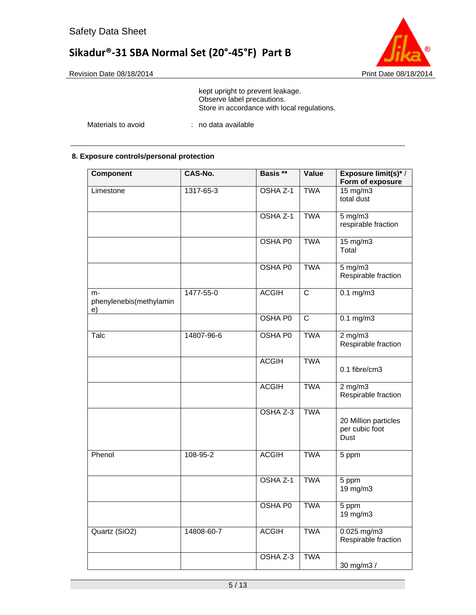

kept upright to prevent leakage. Observe label precautions. Store in accordance with local regulations.

Materials to avoid : no data available

### **8. Exposure controls/personal protection**

| Component                           | CAS-No.    | Basis **       | Value                   | Exposure limit(s)*/<br>Form of exposure        |
|-------------------------------------|------------|----------------|-------------------------|------------------------------------------------|
| Limestone                           | 1317-65-3  | OSHA Z-1       | <b>TWA</b>              | $15 \text{ mg/m}$<br>total dust                |
|                                     |            | OSHA Z-1       | <b>TWA</b>              | $5$ mg/m $3$<br>respirable fraction            |
|                                     |            | <b>OSHA P0</b> | <b>TWA</b>              | $15 \text{ mg/m}$<br>Total                     |
|                                     |            | <b>OSHA P0</b> | <b>TWA</b>              | $5 \text{ mg/m}$<br>Respirable fraction        |
| m-<br>phenylenebis(methylamin<br>e) | 1477-55-0  | <b>ACGIH</b>   | $\overline{\text{c}}$   | $0.1$ mg/m $3$                                 |
|                                     |            | <b>OSHA P0</b> | $\overline{\mathsf{C}}$ | $0.1 \text{ mg/m}$                             |
| Talc                                | 14807-96-6 | OSHA P0        | <b>TWA</b>              | $2$ mg/m $3$<br>Respirable fraction            |
|                                     |            | <b>ACGIH</b>   | <b>TWA</b>              | 0.1 fibre/cm3                                  |
|                                     |            | <b>ACGIH</b>   | <b>TWA</b>              | $2$ mg/m $3$<br>Respirable fraction            |
|                                     |            | OSHA Z-3       | <b>TWA</b>              | 20 Million particles<br>per cubic foot<br>Dust |
| Phenol                              | 108-95-2   | <b>ACGIH</b>   | <b>TWA</b>              | 5 ppm                                          |
|                                     |            | OSHA Z-1       | <b>TWA</b>              | 5 ppm<br>19 mg/m3                              |
|                                     |            | <b>OSHA P0</b> | <b>TWA</b>              | 5 ppm<br>19 mg/m3                              |
| Quartz (SiO2)                       | 14808-60-7 | <b>ACGIH</b>   | <b>TWA</b>              | $0.025$ mg/m3<br>Respirable fraction           |
|                                     |            | OSHA Z-3       | <b>TWA</b>              | 30 mg/m3 /                                     |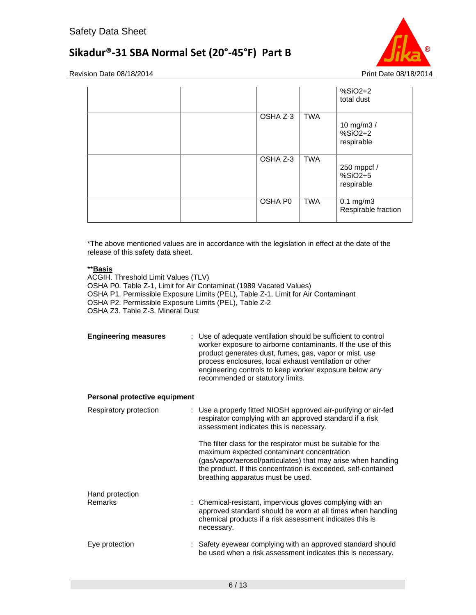

Revision Date 08/18/2014 **Print Date 08/18/2014** 

|          |            | $%SiO2+2$<br>total dust               |
|----------|------------|---------------------------------------|
| OSHA Z-3 | <b>TWA</b> | 10 mg/m3 /<br>$%SiO2+2$<br>respirable |
| OSHA Z-3 | <b>TWA</b> | 250 mppcf /<br>%SiO2+5<br>respirable  |
| OSHA P0  | <b>TWA</b> | $0.1$ mg/m $3$<br>Respirable fraction |

\*The above mentioned values are in accordance with the legislation in effect at the date of the release of this safety data sheet.

### \*\***Basis**

ACGIH. Threshold Limit Values (TLV) OSHA P0. Table Z-1, Limit for Air Contaminat (1989 Vacated Values) OSHA P1. Permissible Exposure Limits (PEL), Table Z-1, Limit for Air Contaminant OSHA P2. Permissible Exposure Limits (PEL), Table Z-2 OSHA Z3. Table Z-3, Mineral Dust

| <b>Engineering measures</b> | : Use of adequate ventilation should be sufficient to control<br>worker exposure to airborne contaminants. If the use of this<br>product generates dust, fumes, gas, vapor or mist, use<br>process enclosures, local exhaust ventilation or other<br>engineering controls to keep worker exposure below any<br>recommended or statutory limits. |
|-----------------------------|-------------------------------------------------------------------------------------------------------------------------------------------------------------------------------------------------------------------------------------------------------------------------------------------------------------------------------------------------|
|                             |                                                                                                                                                                                                                                                                                                                                                 |

### **Personal protective equipment**

| Respiratory protection | : Use a properly fitted NIOSH approved air-purifying or air-fed<br>respirator complying with an approved standard if a risk<br>assessment indicates this is necessary.                                                                                                             |
|------------------------|------------------------------------------------------------------------------------------------------------------------------------------------------------------------------------------------------------------------------------------------------------------------------------|
|                        | The filter class for the respirator must be suitable for the<br>maximum expected contaminant concentration<br>(gas/vapor/aerosol/particulates) that may arise when handling<br>the product. If this concentration is exceeded, self-contained<br>breathing apparatus must be used. |
| Hand protection        |                                                                                                                                                                                                                                                                                    |
| Remarks                | : Chemical-resistant, impervious gloves complying with an<br>approved standard should be worn at all times when handling<br>chemical products if a risk assessment indicates this is<br>necessary.                                                                                 |
| Eye protection         | : Safety eyewear complying with an approved standard should<br>be used when a risk assessment indicates this is necessary.                                                                                                                                                         |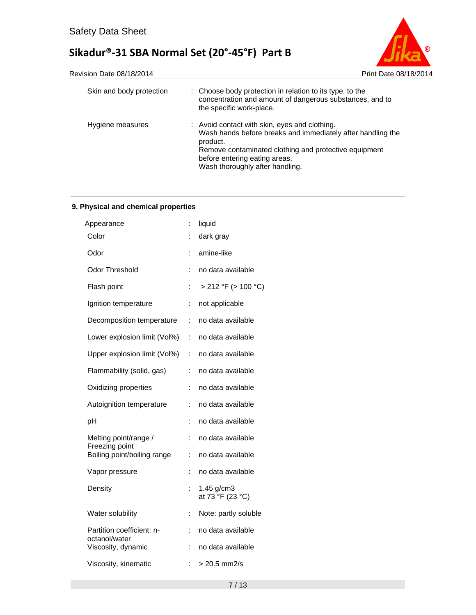



| Skin and body protection | : Choose body protection in relation to its type, to the<br>concentration and amount of dangerous substances, and to<br>the specific work-place.                                                                                                      |
|--------------------------|-------------------------------------------------------------------------------------------------------------------------------------------------------------------------------------------------------------------------------------------------------|
| Hygiene measures         | : Avoid contact with skin, eyes and clothing.<br>Wash hands before breaks and immediately after handling the<br>product.<br>Remove contaminated clothing and protective equipment<br>before entering eating areas.<br>Wash thoroughly after handling. |

### **9. Physical and chemical properties**

| t              | liquid                         |
|----------------|--------------------------------|
| İ.             | dark gray                      |
| ÷              | amine-like                     |
| İ.             | no data available              |
| t              | > 212 °F (> 100 °C)            |
| ÷              | not applicable                 |
| t.             | no data available              |
| ÷              | no data available              |
| ÷              | no data available              |
| ÷              | no data available              |
| ÷              | no data available              |
| ÷              | no data available              |
| ÷              | no data available              |
| ÷              | no data available              |
| ÷              | no data available              |
| ÷              | no data available              |
|                | 1.45 g/cm3<br>at 73 °F (23 °C) |
| $\ddot{\cdot}$ | Note: partly soluble           |
| ÷              | no data available              |
| ÷              | no data available              |
| Ì.             | $> 20.5$ mm2/s                 |
|                |                                |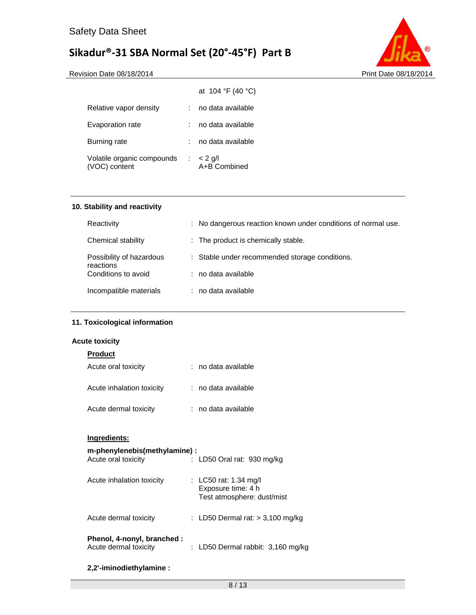

Revision Date 08/18/2014 **Print Date 08/18/2014** 

|                                             | at 104 °F (40 °C)                    |
|---------------------------------------------|--------------------------------------|
| Relative vapor density                      | no data available                    |
| Evaporation rate                            | no data available                    |
| Burning rate                                | no data available                    |
| Volatile organic compounds<br>(VOC) content | $\therefore$ < 2 g/l<br>A+B Combined |

### **10. Stability and reactivity**

| Reactivity                            | : No dangerous reaction known under conditions of normal use. |
|---------------------------------------|---------------------------------------------------------------|
| Chemical stability                    | : The product is chemically stable.                           |
| Possibility of hazardous<br>reactions | : Stable under recommended storage conditions.                |
| Conditions to avoid                   | : no data available                                           |
| Incompatible materials                | : no data available                                           |

### **11. Toxicological information**

### **Acute toxicity**

| <b>Product</b>                                      |                                                                           |
|-----------------------------------------------------|---------------------------------------------------------------------------|
| Acute oral toxicity                                 | ∶no data available                                                        |
| Acute inhalation toxicity                           | $:$ no data available                                                     |
| Acute dermal toxicity                               | ∶no data available                                                        |
| Ingredients:                                        |                                                                           |
| m-phenylenebis(methylamine):<br>Acute oral toxicity | : LD50 Oral rat: 930 mg/kg                                                |
| Acute inhalation toxicity                           | : LC50 rat: 1.34 mg/l<br>Exposure time: 4 h<br>Test atmosphere: dust/mist |
| Acute dermal toxicity                               | : LD50 Dermal rat: $>$ 3,100 mg/kg                                        |

| Phenol, 4-nonyl, branched : |                                     |  |
|-----------------------------|-------------------------------------|--|
| Acute dermal toxicity       | : LD50 Dermal rabbit: $3,160$ mg/kg |  |

### **2,2'-iminodiethylamine :**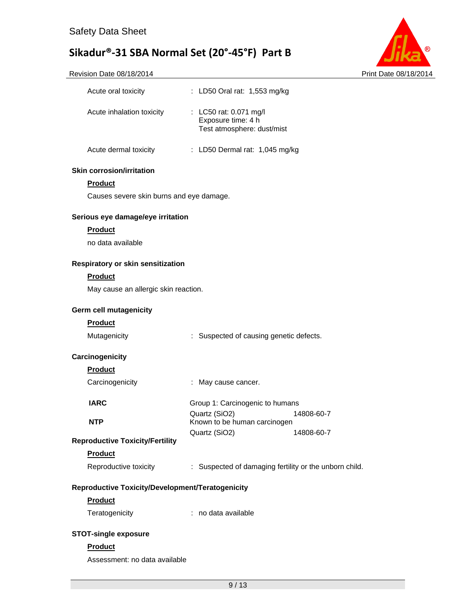

| Acute oral toxicity                              | : LD50 Oral rat: 1,553 mg/kg                                |
|--------------------------------------------------|-------------------------------------------------------------|
| Acute inhalation toxicity                        | : LC50 rat: 0.071 mg/l<br>Exposure time: 4 h                |
|                                                  | Test atmosphere: dust/mist                                  |
| Acute dermal toxicity                            | : LD50 Dermal rat: 1,045 mg/kg                              |
| <b>Skin corrosion/irritation</b>                 |                                                             |
| <b>Product</b>                                   |                                                             |
| Causes severe skin burns and eye damage.         |                                                             |
| Serious eye damage/eye irritation                |                                                             |
| <b>Product</b>                                   |                                                             |
| no data available                                |                                                             |
| Respiratory or skin sensitization                |                                                             |
| <b>Product</b>                                   |                                                             |
| May cause an allergic skin reaction.             |                                                             |
| <b>Germ cell mutagenicity</b>                    |                                                             |
| <b>Product</b>                                   |                                                             |
| Mutagenicity                                     | : Suspected of causing genetic defects.                     |
| Carcinogenicity                                  |                                                             |
| <b>Product</b>                                   |                                                             |
| Carcinogenicity                                  | : May cause cancer.                                         |
| <b>IARC</b>                                      | Group 1: Carcinogenic to humans                             |
| <b>NTP</b>                                       | Quartz (SiO2)<br>14808-60-7<br>Known to be human carcinogen |
| <b>Reproductive Toxicity/Fertility</b>           | Quartz (SiO2)<br>14808-60-7                                 |
| <b>Product</b>                                   |                                                             |
| Reproductive toxicity                            | : Suspected of damaging fertility or the unborn child.      |
| Reproductive Toxicity/Development/Teratogenicity |                                                             |
| <b>Product</b>                                   |                                                             |
| Teratogenicity                                   | : no data available                                         |
| <b>STOT-single exposure</b>                      |                                                             |
| <b>Product</b>                                   |                                                             |
| Assessment: no data available                    |                                                             |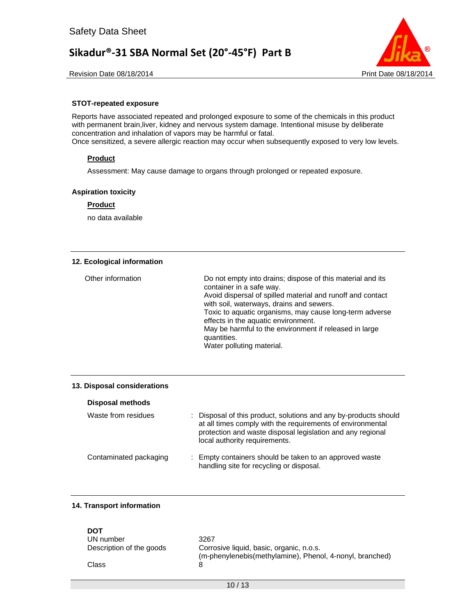

Revision Date 08/18/2014 **Print Date 08/18/2014** Print Date 08/18/2014

### **STOT-repeated exposure**

Reports have associated repeated and prolonged exposure to some of the chemicals in this product with permanent brain,liver, kidney and nervous system damage. Intentional misuse by deliberate concentration and inhalation of vapors may be harmful or fatal. Once sensitized, a severe allergic reaction may occur when subsequently exposed to very low levels.

### **Product**

Assessment: May cause damage to organs through prolonged or repeated exposure.

### **Aspiration toxicity**

### **Product**

no data available

#### **12. Ecological information**

| Other information | Do not empty into drains; dispose of this material and its<br>container in a safe way.<br>Avoid dispersal of spilled material and runoff and contact<br>with soil, waterways, drains and sewers.<br>Toxic to aquatic organisms, may cause long-term adverse<br>effects in the aquatic environment.<br>May be harmful to the environment if released in large<br>quantities.<br>Water polluting material. |
|-------------------|----------------------------------------------------------------------------------------------------------------------------------------------------------------------------------------------------------------------------------------------------------------------------------------------------------------------------------------------------------------------------------------------------------|
|-------------------|----------------------------------------------------------------------------------------------------------------------------------------------------------------------------------------------------------------------------------------------------------------------------------------------------------------------------------------------------------------------------------------------------------|

#### **13. Disposal considerations**

| <b>Disposal methods</b> |                                                                                                                                                                                                                             |
|-------------------------|-----------------------------------------------------------------------------------------------------------------------------------------------------------------------------------------------------------------------------|
| Waste from residues     | Disposal of this product, solutions and any by-products should<br>at all times comply with the requirements of environmental<br>protection and waste disposal legislation and any regional<br>local authority requirements. |
| Contaminated packaging  | : Empty containers should be taken to an approved waste<br>handling site for recycling or disposal.                                                                                                                         |

### **14. Transport information**

| DOT                      |                                                          |
|--------------------------|----------------------------------------------------------|
| UN number                | 3267                                                     |
| Description of the goods | Corrosive liquid, basic, organic, n.o.s.                 |
|                          | (m-phenylenebis(methylamine), Phenol, 4-nonyl, branched) |
| Class                    | 8                                                        |
|                          |                                                          |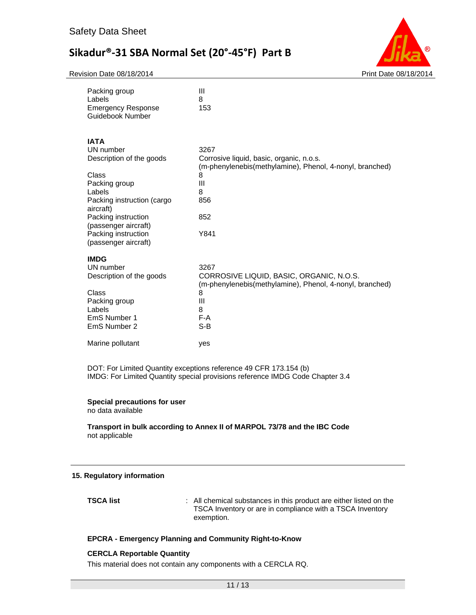Revision Date 08/18/2014 **Print Date 08/18/2014** Print Date 08/18/2014



| Packing group<br>Labels<br><b>Emergency Response</b><br>Guidebook Number                                                                                                                                                          | Ш<br>8<br>153                                                                                                                                     |
|-----------------------------------------------------------------------------------------------------------------------------------------------------------------------------------------------------------------------------------|---------------------------------------------------------------------------------------------------------------------------------------------------|
| <b>IATA</b><br>UN number<br>Description of the goods<br>Class<br>Packing group<br>Labels<br>Packing instruction (cargo<br>aircraft)<br>Packing instruction<br>(passenger aircraft)<br>Packing instruction<br>(passenger aircraft) | 3267<br>Corrosive liquid, basic, organic, n.o.s.<br>(m-phenylenebis(methylamine), Phenol, 4-nonyl, branched)<br>8<br>Ш<br>8<br>856<br>852<br>Y841 |
| <b>IMDG</b><br>UN number<br>Description of the goods<br>Class<br>Packing group<br>Labels<br>EmS Number 1<br>EmS Number 2                                                                                                          | 3267<br>CORROSIVE LIQUID, BASIC, ORGANIC, N.O.S.<br>(m-phenylenebis(methylamine), Phenol, 4-nonyl, branched)<br>8<br>Ш<br>8<br>$F-A$<br>$S-B$     |
| Marine pollutant                                                                                                                                                                                                                  | yes                                                                                                                                               |

DOT: For Limited Quantity exceptions reference 49 CFR 173.154 (b) IMDG: For Limited Quantity special provisions reference IMDG Code Chapter 3.4

### **Special precautions for user**

no data available

**Transport in bulk according to Annex II of MARPOL 73/78 and the IBC Code**  not applicable

#### **15. Regulatory information**

**TSCA list** : All chemical substances in this product are either listed on the TSCA Inventory or are in compliance with a TSCA Inventory exemption.

### **EPCRA - Emergency Planning and Community Right-to-Know**

#### **CERCLA Reportable Quantity**

This material does not contain any components with a CERCLA RQ.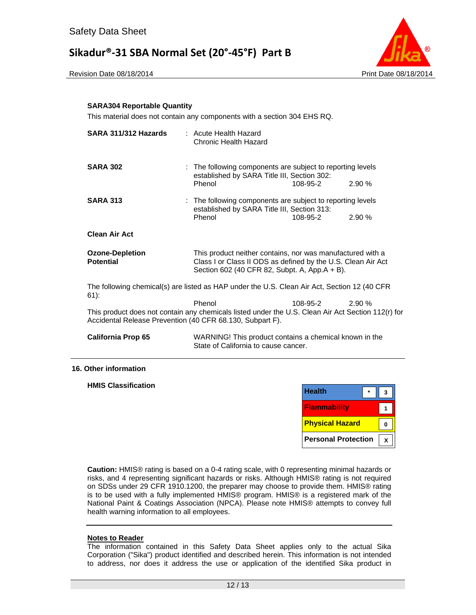



### **SARA304 Reportable Quantity**

This material does not contain any components with a section 304 EHS RQ.

| SARA 311/312 Hazards                                                                                                                                            | : Acute Health Hazard<br>Chronic Health Hazard                                                                                                                              |          |       |
|-----------------------------------------------------------------------------------------------------------------------------------------------------------------|-----------------------------------------------------------------------------------------------------------------------------------------------------------------------------|----------|-------|
| <b>SARA 302</b>                                                                                                                                                 | : The following components are subject to reporting levels<br>established by SARA Title III, Section 302:                                                                   |          |       |
|                                                                                                                                                                 | Phenol                                                                                                                                                                      | 108-95-2 | 2.90% |
| <b>SARA 313</b>                                                                                                                                                 | : The following components are subject to reporting levels<br>established by SARA Title III, Section 313:                                                                   |          |       |
|                                                                                                                                                                 | Phenol                                                                                                                                                                      | 108-95-2 | 2.90% |
| <b>Clean Air Act</b>                                                                                                                                            |                                                                                                                                                                             |          |       |
| <b>Ozone-Depletion</b><br><b>Potential</b>                                                                                                                      | This product neither contains, nor was manufactured with a<br>Class I or Class II ODS as defined by the U.S. Clean Air Act<br>Section 602 (40 CFR 82, Subpt. A, App.A + B). |          |       |
| The following chemical(s) are listed as HAP under the U.S. Clean Air Act, Section 12 (40 CFR<br>$61$ :                                                          |                                                                                                                                                                             |          |       |
|                                                                                                                                                                 | Phenol                                                                                                                                                                      | 108-95-2 | 2.90% |
| This product does not contain any chemicals listed under the U.S. Clean Air Act Section 112(r) for<br>Accidental Release Prevention (40 CFR 68.130, Subpart F). |                                                                                                                                                                             |          |       |
| <b>California Prop 65</b>                                                                                                                                       | WARNING! This product contains a chemical known in the<br>State of California to cause cancer.                                                                              |          |       |

#### **16. Other information**

**HMIS Classification** 

| <b>Health</b>              |  |
|----------------------------|--|
| <b>Flammability</b>        |  |
| <b>Physical Hazard</b>     |  |
| <b>Personal Protection</b> |  |

**Caution:** HMIS® rating is based on a 0-4 rating scale, with 0 representing minimal hazards or risks, and 4 representing significant hazards or risks. Although HMIS® rating is not required on SDSs under 29 CFR 1910.1200, the preparer may choose to provide them. HMIS® rating is to be used with a fully implemented HMIS® program. HMIS® is a registered mark of the National Paint & Coatings Association (NPCA). Please note HMIS® attempts to convey full health warning information to all employees.

### **Notes to Reader**

The information contained in this Safety Data Sheet applies only to the actual Sika Corporation ("Sika") product identified and described herein. This information is not intended to address, nor does it address the use or application of the identified Sika product in